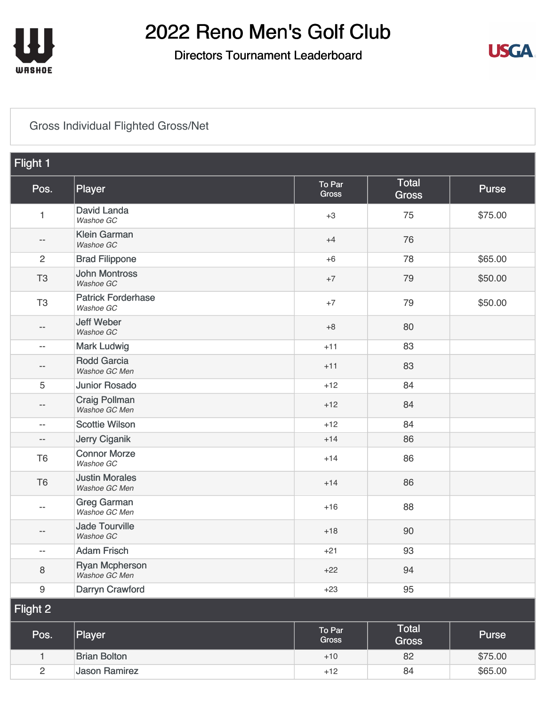

#### Directors Tournament Leaderboard



### [Gross Individual Flighted Gross/Net](https://static.golfgenius.com/v2tournaments/8161025266756377858?called_from=&round_index=3)

| Flight 1                 |                                        |                 |                              |         |
|--------------------------|----------------------------------------|-----------------|------------------------------|---------|
| Pos.                     | Player                                 | To Par<br>Gross | Total<br><b>Gross</b>        | Purse   |
| $\mathbf{1}$             | David Landa<br>Washoe GC               | $+3$            | 75                           | \$75.00 |
| --                       | <b>Klein Garman</b><br>Washoe GC       | $+4$            | 76                           |         |
| $\overline{2}$           | <b>Brad Filippone</b>                  | $+6$            | 78                           | \$65.00 |
| T <sub>3</sub>           | <b>John Montross</b><br>Washoe GC      | $+7$            | 79                           | \$50.00 |
| T <sub>3</sub>           | <b>Patrick Forderhase</b><br>Washoe GC | $+7$            | 79                           | \$50.00 |
| --                       | <b>Jeff Weber</b><br>Washoe GC         | $+8$            | 80                           |         |
| $\overline{\phantom{m}}$ | <b>Mark Ludwig</b>                     | $+11$           | 83                           |         |
| --                       | <b>Rodd Garcia</b><br>Washoe GC Men    | $+11$           | 83                           |         |
| 5                        | <b>Junior Rosado</b>                   | $+12$           | 84                           |         |
| --                       | <b>Craig Pollman</b><br>Washoe GC Men  | $+12$           | 84                           |         |
| $\overline{\phantom{m}}$ | <b>Scottie Wilson</b>                  | $+12$           | 84                           |         |
| $\overline{\phantom{m}}$ | Jerry Ciganik                          | $+14$           | 86                           |         |
| T <sub>6</sub>           | <b>Connor Morze</b><br>Washoe GC       | $+14$           | 86                           |         |
| T <sub>6</sub>           | <b>Justin Morales</b><br>Washoe GC Men | $+14$           | 86                           |         |
| $\overline{\phantom{m}}$ | <b>Greg Garman</b><br>Washoe GC Men    | $+16$           | 88                           |         |
| --                       | <b>Jade Tourville</b><br>Washoe GC     | $+18$           | 90                           |         |
| $-\hbox{--}$             | <b>Adam Frisch</b>                     | $+21$           | 93                           |         |
| 8                        | <b>Ryan Mcpherson</b><br>Washoe GC Men | $+22$           | 94                           |         |
| 9                        | Darryn Crawford                        | $+23$           | 95                           |         |
| Flight 2                 |                                        |                 |                              |         |
| Pos.                     | Player                                 | To Par<br>Gross | <b>Total</b><br><b>Gross</b> | Purse   |
| 1                        | <b>Brian Bolton</b>                    | $+10$           | 82                           | \$75.00 |
| $\overline{c}$           | <b>Jason Ramirez</b>                   | $+12$           | 84                           | \$65.00 |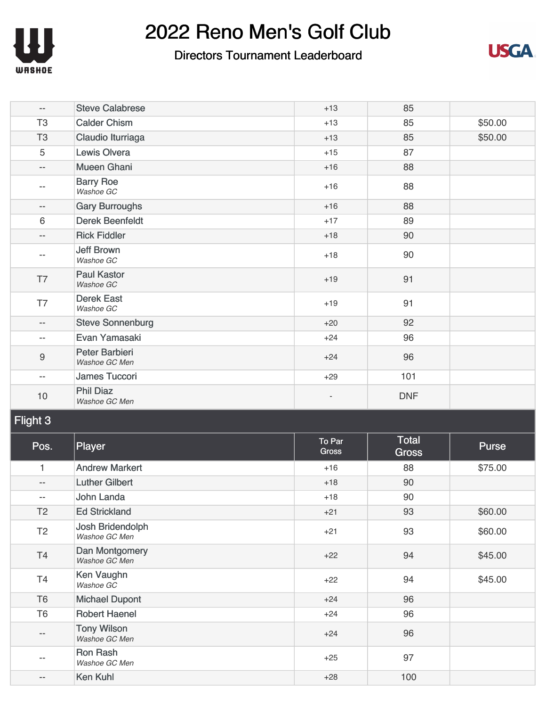

### Directors Tournament Leaderboard



| $\qquad \qquad -$        | <b>Steve Calabrese</b>            | $+13$ | 85         |         |
|--------------------------|-----------------------------------|-------|------------|---------|
| T <sub>3</sub>           | <b>Calder Chism</b>               | $+13$ | 85         | \$50.00 |
| T <sub>3</sub>           | Claudio Iturriaga                 | $+13$ | 85         | \$50.00 |
| 5                        | <b>Lewis Olvera</b>               | $+15$ | 87         |         |
| $\overline{\phantom{a}}$ | <b>Mueen Ghani</b>                | $+16$ | 88         |         |
| $- -$                    | <b>Barry Roe</b><br>Washoe GC     | $+16$ | 88         |         |
| $\overline{\phantom{m}}$ | <b>Gary Burroughs</b>             | $+16$ | 88         |         |
| 6                        | <b>Derek Beenfeldt</b>            | $+17$ | 89         |         |
| $\overline{\phantom{a}}$ | <b>Rick Fiddler</b>               | $+18$ | 90         |         |
| $-$                      | <b>Jeff Brown</b><br>Washoe GC    | $+18$ | 90         |         |
| T7                       | <b>Paul Kastor</b><br>Washoe GC   | $+19$ | 91         |         |
| T7                       | <b>Derek East</b><br>Washoe GC    | $+19$ | 91         |         |
| $\qquad \qquad -$        | <b>Steve Sonnenburg</b>           | $+20$ | 92         |         |
| $\overline{\phantom{m}}$ | Evan Yamasaki                     | $+24$ | 96         |         |
| $\boldsymbol{9}$         | Peter Barbieri<br>Washoe GC Men   | $+24$ | 96         |         |
| $\overline{\phantom{m}}$ | James Tuccori                     | $+29$ | 101        |         |
| 10                       | <b>Phil Diaz</b><br>Washoe GC Men |       | <b>DNF</b> |         |

### Flight 3

| Pos.                     | Player                              | To Par<br><b>Gross</b> | <b>Total</b><br><b>Gross</b> | Purse   |
|--------------------------|-------------------------------------|------------------------|------------------------------|---------|
| 1                        | <b>Andrew Markert</b>               | $+16$                  | 88                           | \$75.00 |
| $\overline{\phantom{m}}$ | <b>Luther Gilbert</b>               | $+18$                  | 90                           |         |
| $\qquad \qquad -$        | John Landa                          | $+18$                  | 90                           |         |
| T <sub>2</sub>           | <b>Ed Strickland</b>                | $+21$                  | 93                           | \$60.00 |
| T <sub>2</sub>           | Josh Bridendolph<br>Washoe GC Men   | $+21$                  | 93                           | \$60.00 |
| T4                       | Dan Montgomery<br>Washoe GC Men     | $+22$                  | 94                           | \$45.00 |
| T <sub>4</sub>           | Ken Vaughn<br>Washoe GC             | $+22$                  | 94                           | \$45.00 |
| T <sub>6</sub>           | <b>Michael Dupont</b>               | $+24$                  | 96                           |         |
| T <sub>6</sub>           | <b>Robert Haenel</b>                | $+24$                  | 96                           |         |
| $\qquad \qquad -$        | <b>Tony Wilson</b><br>Washoe GC Men | $+24$                  | 96                           |         |
| $\overline{\phantom{m}}$ | <b>Ron Rash</b><br>Washoe GC Men    | $+25$                  | 97                           |         |
| $\qquad \qquad -$        | Ken Kuhl                            | $+28$                  | 100                          |         |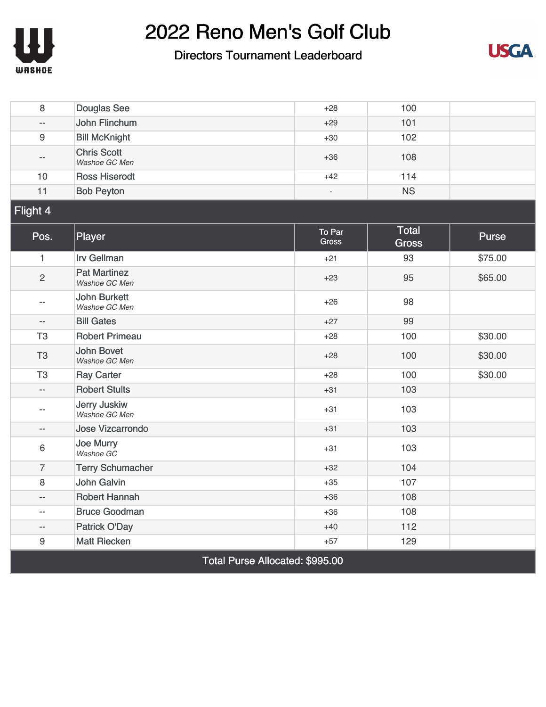

#### Directors Tournament Leaderboard



| 8                        | <b>Douglas See</b>                   | $+28$                  | 100                          |         |  |  |
|--------------------------|--------------------------------------|------------------------|------------------------------|---------|--|--|
| $\overline{a}$           | John Flinchum                        | $+29$                  | 101                          |         |  |  |
| 9                        | <b>Bill McKnight</b>                 | $+30$                  | 102                          |         |  |  |
| $-$                      | <b>Chris Scott</b><br>Washoe GC Men  | $+36$                  | 108                          |         |  |  |
| 10                       | <b>Ross Hiserodt</b>                 | $+42$                  | 114                          |         |  |  |
| 11                       | <b>Bob Peyton</b>                    | ÷,                     | <b>NS</b>                    |         |  |  |
| Flight 4                 |                                      |                        |                              |         |  |  |
| Pos.                     | Player                               | To Par<br><b>Gross</b> | <b>Total</b><br><b>Gross</b> | Purse   |  |  |
| $\mathbf{1}$             | <b>Irv Gellman</b>                   | $+21$                  | 93                           | \$75.00 |  |  |
| $\overline{c}$           | <b>Pat Martinez</b><br>Washoe GC Men | $+23$                  | 95                           | \$65.00 |  |  |
| $-$                      | <b>John Burkett</b><br>Washoe GC Men | $+26$                  | 98                           |         |  |  |
| $\overline{\phantom{a}}$ | <b>Bill Gates</b>                    | $+27$                  | 99                           |         |  |  |
| T <sub>3</sub>           | <b>Robert Primeau</b>                | $+28$                  | 100                          | \$30.00 |  |  |
| T <sub>3</sub>           | <b>John Bovet</b><br>Washoe GC Men   | $+28$                  | 100                          | \$30.00 |  |  |
| T <sub>3</sub>           | <b>Ray Carter</b>                    | $+28$                  | 100                          | \$30.00 |  |  |
| $-$                      | <b>Robert Stults</b>                 | $+31$                  | 103                          |         |  |  |
| $-$                      | Jerry Juskiw<br>Washoe GC Men        | $+31$                  | 103                          |         |  |  |
| $-$                      | Jose Vizcarrondo                     | $+31$                  | 103                          |         |  |  |
| 6                        | Joe Murry<br>Washoe GC               | $+31$                  | 103                          |         |  |  |
| $\overline{7}$           | <b>Terry Schumacher</b>              | $+32$                  | 104                          |         |  |  |
| 8                        | John Galvin                          | $+35$                  | 107                          |         |  |  |
| $-$                      | <b>Robert Hannah</b>                 | $+36$                  | 108                          |         |  |  |
| $-$                      | <b>Bruce Goodman</b>                 | $+36$                  | 108                          |         |  |  |
| $-$                      | <b>Patrick O'Day</b>                 | $+40$                  | 112                          |         |  |  |
| $\boldsymbol{9}$         | <b>Matt Riecken</b>                  | $+57$                  | 129                          |         |  |  |
|                          | Total Purse Allocated: \$995.00      |                        |                              |         |  |  |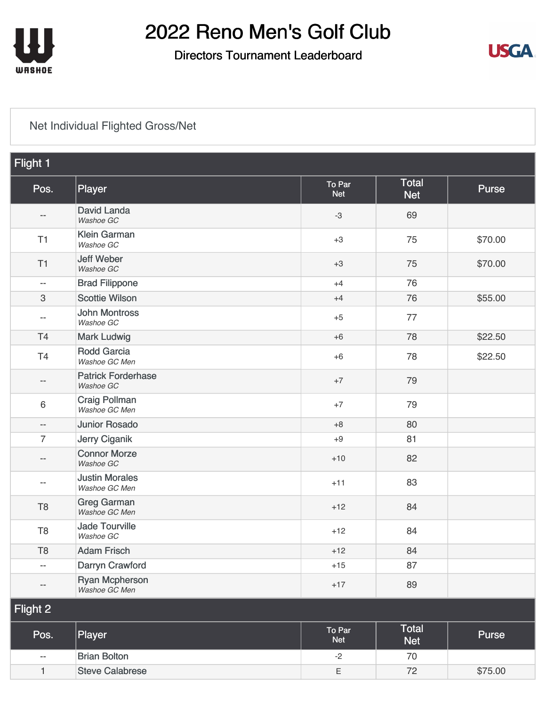

### Directors Tournament Leaderboard



### [Net Individual Flighted Gross/Net](https://static.golfgenius.com/v2tournaments/8161025269776276739?called_from=&round_index=3)

| Flight 1                 |                                        |                      |                            |         |
|--------------------------|----------------------------------------|----------------------|----------------------------|---------|
| Pos.                     | Player                                 | To Par<br><b>Net</b> | Total<br><b>Net</b>        | Purse   |
| --                       | <b>David Landa</b><br>Washoe GC        | $-3$                 | 69                         |         |
| T1                       | <b>Klein Garman</b><br>Washoe GC       | $+3$                 | 75                         | \$70.00 |
| T <sub>1</sub>           | <b>Jeff Weber</b><br>Washoe GC         | $+3$                 | 75                         | \$70.00 |
| $\overline{\phantom{m}}$ | <b>Brad Filippone</b>                  | $+4$                 | 76                         |         |
| 3                        | <b>Scottie Wilson</b>                  | $+4$                 | 76                         | \$55.00 |
| --                       | <b>John Montross</b><br>Washoe GC      | $+5$                 | 77                         |         |
| T4                       | <b>Mark Ludwig</b>                     | $+6$                 | 78                         | \$22.50 |
| T4                       | <b>Rodd Garcia</b><br>Washoe GC Men    | $+6$                 | 78                         | \$22.50 |
| --                       | <b>Patrick Forderhase</b><br>Washoe GC | $+7$                 | 79                         |         |
| $6\,$                    | <b>Craig Pollman</b><br>Washoe GC Men  | $+7$                 | 79                         |         |
| $\overline{\phantom{a}}$ | <b>Junior Rosado</b>                   | $+8$                 | 80                         |         |
| $\overline{7}$           | Jerry Ciganik                          | $+9$                 | 81                         |         |
| $-\,-$                   | <b>Connor Morze</b><br>Washoe GC       | $+10$                | 82                         |         |
| $-$                      | <b>Justin Morales</b><br>Washoe GC Men | $+11$                | 83                         |         |
| T <sub>8</sub>           | <b>Greg Garman</b><br>Washoe GC Men    | $+12$                | 84                         |         |
| T <sub>8</sub>           | <b>Jade Tourville</b><br>Washoe GC     | $+12$                | 84                         |         |
| T <sub>8</sub>           | <b>Adam Frisch</b>                     | $+12$                | 84                         |         |
| --                       | Darryn Crawford                        | $+15$                | 87                         |         |
| $- \, -$                 | <b>Ryan Mcpherson</b><br>Washoe GC Men | $+17$                | 89                         |         |
| Flight 2                 |                                        |                      |                            |         |
| Pos.                     | Player                                 | To Par<br><b>Net</b> | <b>Total</b><br><b>Net</b> | Purse   |
| $-$                      | <b>Brian Bolton</b>                    | $-2$                 | 70                         |         |
| $\mathbf{1}$             | <b>Steve Calabrese</b>                 | $\mathsf E$          | 72                         | \$75.00 |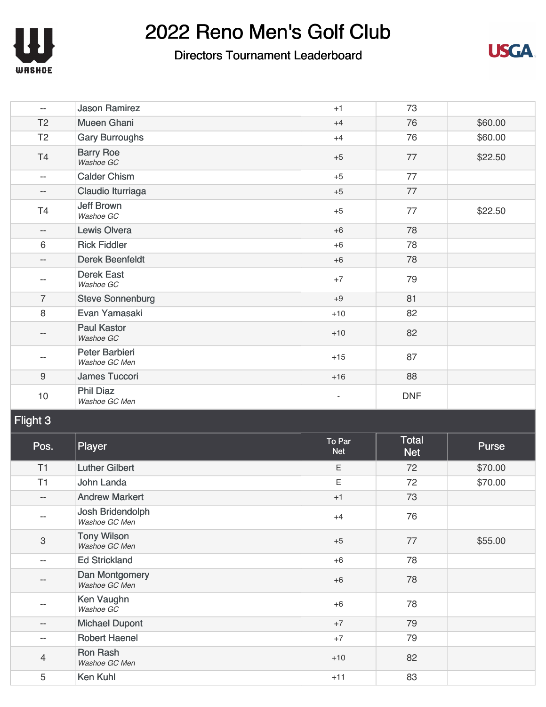

### Directors Tournament Leaderboard



| $\overline{\phantom{a}}$ | <b>Jason Ramirez</b>              | $+1$  | 73         |         |
|--------------------------|-----------------------------------|-------|------------|---------|
| T <sub>2</sub>           | <b>Mueen Ghani</b>                | $+4$  | 76         | \$60.00 |
| T <sub>2</sub>           | <b>Gary Burroughs</b>             | $+4$  | 76         | \$60.00 |
| T4                       | <b>Barry Roe</b><br>Washoe GC     | $+5$  | 77         | \$22.50 |
| $\overline{\phantom{a}}$ | <b>Calder Chism</b>               | $+5$  | 77         |         |
| $\overline{\phantom{a}}$ | Claudio Iturriaga                 | $+5$  | 77         |         |
| T <sub>4</sub>           | <b>Jeff Brown</b><br>Washoe GC    | $+5$  | 77         | \$22.50 |
| $\overline{\phantom{a}}$ | Lewis Olvera                      | $+6$  | 78         |         |
| $6\phantom{1}$           | <b>Rick Fiddler</b>               | $+6$  | 78         |         |
| $\overline{\phantom{a}}$ | <b>Derek Beenfeldt</b>            | $+6$  | 78         |         |
| --                       | <b>Derek East</b><br>Washoe GC    | $+7$  | 79         |         |
| $\overline{7}$           | <b>Steve Sonnenburg</b>           | $+9$  | 81         |         |
| 8                        | Evan Yamasaki                     | $+10$ | 82         |         |
| --                       | <b>Paul Kastor</b><br>Washoe GC   | $+10$ | 82         |         |
| --                       | Peter Barbieri<br>Washoe GC Men   | $+15$ | 87         |         |
| $9$                      | James Tuccori                     | $+16$ | 88         |         |
| $10$                     | <b>Phil Diaz</b><br>Washoe GC Men | ٠     | <b>DNF</b> |         |

### Flight 3

| Pos.           | Player                              | To Par<br><b>Net</b> | Total<br><b>Net</b> | <b>Purse</b> |
|----------------|-------------------------------------|----------------------|---------------------|--------------|
| T1             | <b>Luther Gilbert</b>               | Ε                    | 72                  | \$70.00      |
| T1             | John Landa                          | Ε                    | 72                  | \$70.00      |
| $- -$          | <b>Andrew Markert</b>               | $+1$                 | 73                  |              |
| --             | Josh Bridendolph<br>Washoe GC Men   | $+4$                 | 76                  |              |
| 3              | <b>Tony Wilson</b><br>Washoe GC Men | $+5$                 | 77                  | \$55.00      |
| --             | <b>Ed Strickland</b>                | $+6$                 | 78                  |              |
| --             | Dan Montgomery<br>Washoe GC Men     | $+6$                 | 78                  |              |
| --             | Ken Vaughn<br>Washoe GC             | $+6$                 | 78                  |              |
| --             | <b>Michael Dupont</b>               | $+7$                 | 79                  |              |
| --             | <b>Robert Haenel</b>                | $+7$                 | 79                  |              |
| $\overline{4}$ | <b>Ron Rash</b><br>Washoe GC Men    | $+10$                | 82                  |              |
| 5              | Ken Kuhl                            | $+11$                | 83                  |              |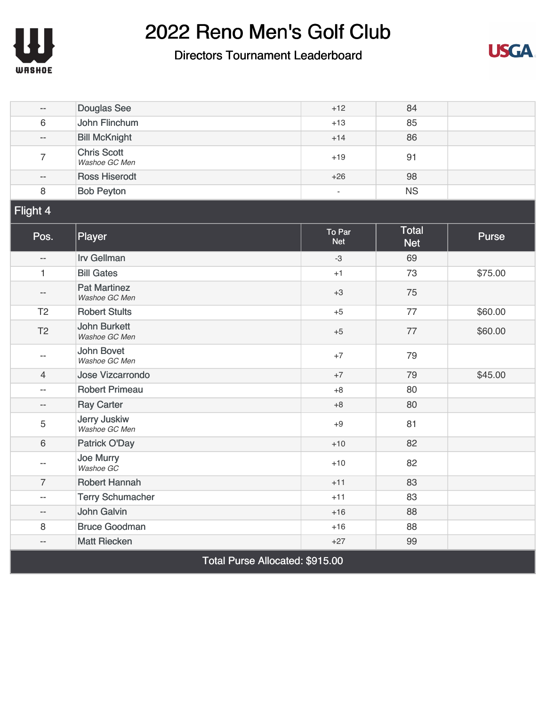

#### Directors Tournament Leaderboard



| $-$                      | <b>Douglas See</b>                   | $+12$                | 84                         |         |  |  |
|--------------------------|--------------------------------------|----------------------|----------------------------|---------|--|--|
| 6                        | John Flinchum                        | $+13$                | 85                         |         |  |  |
| $\overline{a}$           | <b>Bill McKnight</b>                 | $+14$                | 86                         |         |  |  |
| $\overline{7}$           | <b>Chris Scott</b><br>Washoe GC Men  | $+19$                | 91                         |         |  |  |
| $-$                      | <b>Ross Hiserodt</b>                 | $+26$                | 98                         |         |  |  |
| 8                        | <b>Bob Peyton</b>                    | $\omega$             | <b>NS</b>                  |         |  |  |
| Flight 4                 |                                      |                      |                            |         |  |  |
| Pos.                     | Player                               | To Par<br><b>Net</b> | <b>Total</b><br><b>Net</b> | Purse   |  |  |
| $\overline{\phantom{a}}$ | <b>Irv Gellman</b>                   | $-3$                 | 69                         |         |  |  |
| $\mathbf{1}$             | <b>Bill Gates</b>                    | $+1$                 | 73                         | \$75.00 |  |  |
| $ \!-$                   | <b>Pat Martinez</b><br>Washoe GC Men | $+3$                 | 75                         |         |  |  |
| T <sub>2</sub>           | <b>Robert Stults</b>                 | $+5$                 | 77                         | \$60.00 |  |  |
| T <sub>2</sub>           | <b>John Burkett</b><br>Washoe GC Men | $+5$                 | 77                         | \$60.00 |  |  |
| $-$                      | <b>John Bovet</b><br>Washoe GC Men   | $+7$                 | 79                         |         |  |  |
| $\overline{4}$           | <b>Jose Vizcarrondo</b>              | $+7$                 | 79                         | \$45.00 |  |  |
| $\overline{a}$           | <b>Robert Primeau</b>                | $+8$                 | 80                         |         |  |  |
| $-$                      | <b>Ray Carter</b>                    | $+8$                 | 80                         |         |  |  |
| 5                        | <b>Jerry Juskiw</b><br>Washoe GC Men | $+9$                 | 81                         |         |  |  |
| 6                        | Patrick O'Day                        | $+10$                | 82                         |         |  |  |
| $-$                      | <b>Joe Murry</b><br>Washoe GC        | $+10$                | 82                         |         |  |  |
| $\overline{7}$           | <b>Robert Hannah</b>                 | $+11$                | 83                         |         |  |  |
| $\overline{a}$           | <b>Terry Schumacher</b>              | $+11$                | 83                         |         |  |  |
| --                       | <b>John Galvin</b>                   | $+16$                | 88                         |         |  |  |
| 8                        | <b>Bruce Goodman</b>                 | $+16$                | 88                         |         |  |  |
| --                       | <b>Matt Riecken</b>                  | $+27$                | 99                         |         |  |  |
|                          | Total Purse Allocated: \$915.00      |                      |                            |         |  |  |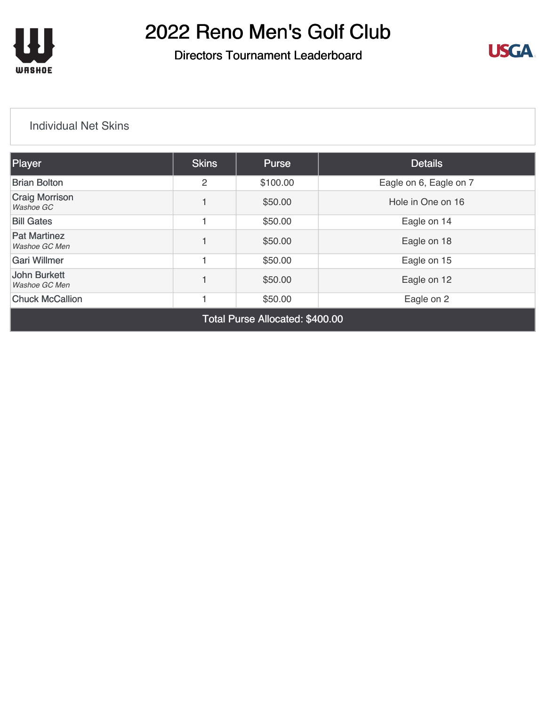

### Directors Tournament Leaderboard



#### [Individual Net Skins](https://static.golfgenius.com/v2tournaments/8161025380673674513?called_from=&round_index=3)

| <b>Player</b>                        | <b>Skins</b>   | <b>Purse</b> | <b>Details</b>         |  |  |  |
|--------------------------------------|----------------|--------------|------------------------|--|--|--|
| <b>Brian Bolton</b>                  | $\overline{2}$ | \$100.00     | Eagle on 6, Eagle on 7 |  |  |  |
| <b>Craig Morrison</b><br>Washoe GC   |                | \$50.00      | Hole in One on 16      |  |  |  |
| <b>Bill Gates</b>                    |                | \$50.00      | Eagle on 14            |  |  |  |
| <b>Pat Martinez</b><br>Washoe GC Men |                | \$50.00      | Eagle on 18            |  |  |  |
| <b>Gari Willmer</b>                  |                | \$50.00      | Eagle on 15            |  |  |  |
| <b>John Burkett</b><br>Washoe GC Men |                | \$50.00      | Eagle on 12            |  |  |  |
| <b>Chuck McCallion</b>               |                | \$50.00      | Eagle on 2             |  |  |  |
| Total Purse Allocated: \$400.00      |                |              |                        |  |  |  |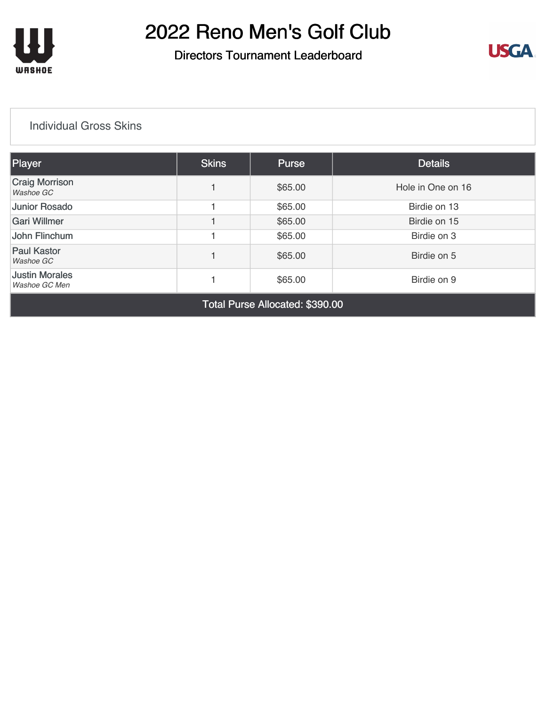

#### Directors Tournament Leaderboard



#### [Individual Gross Skins](https://static.golfgenius.com/v2tournaments/8161025502979579163?called_from=&round_index=3)

| Player                                 | <b>Skins</b> | Purse   | <b>Details</b>    |
|----------------------------------------|--------------|---------|-------------------|
| <b>Craig Morrison</b><br>Washoe GC     |              | \$65.00 | Hole in One on 16 |
| <b>Junior Rosado</b>                   |              | \$65.00 | Birdie on 13      |
| Gari Willmer                           |              | \$65.00 | Birdie on 15      |
| John Flinchum                          |              | \$65.00 | Birdie on 3       |
| <b>Paul Kastor</b><br>Washoe GC        |              | \$65.00 | Birdie on 5       |
| <b>Justin Morales</b><br>Washoe GC Men |              | \$65.00 | Birdie on 9       |
|                                        | _ _ _        |         |                   |

Total Purse Allocated: \$390.00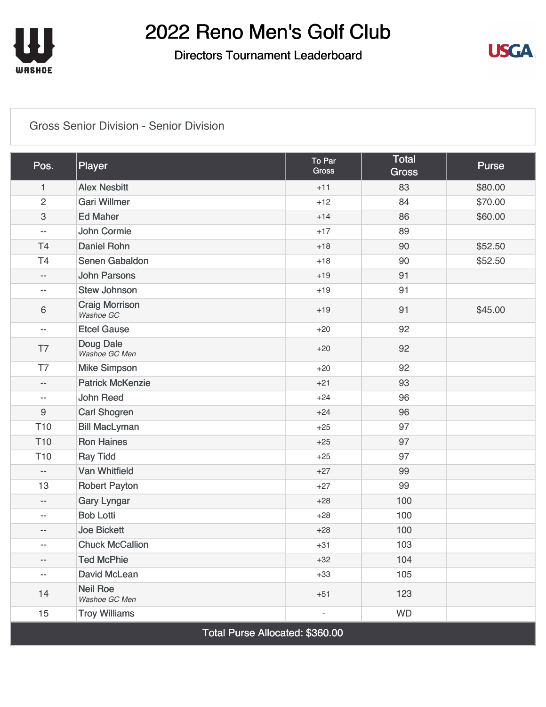

### Directors Tournament Leaderboard



#### [Gross Senior Division - Senior Division](https://static.golfgenius.com/v2tournaments/8433343250147859600?called_from=&round_index=3)

| Pos.                     | Player                             | To Par<br><b>Gross</b> | <b>Total</b><br><b>Gross</b> | <b>Purse</b> |  |  |  |
|--------------------------|------------------------------------|------------------------|------------------------------|--------------|--|--|--|
| 1                        | <b>Alex Nesbitt</b>                | $+11$                  | 83                           | \$80.00      |  |  |  |
| $\overline{2}$           | <b>Gari Willmer</b>                | $+12$                  | 84                           | \$70.00      |  |  |  |
| 3                        | <b>Ed Maher</b>                    | $+14$                  | 86                           | \$60.00      |  |  |  |
| $\overline{\phantom{m}}$ | John Cormie                        | $+17$                  | 89                           |              |  |  |  |
| T <sub>4</sub>           | <b>Daniel Rohn</b>                 | $+18$                  | 90                           | \$52.50      |  |  |  |
| T <sub>4</sub>           | Senen Gabaldon                     | $+18$                  | 90                           | \$52.50      |  |  |  |
| $-$                      | <b>John Parsons</b>                | $+19$                  | 91                           |              |  |  |  |
| $\overline{\phantom{a}}$ | <b>Stew Johnson</b>                | $+19$                  | 91                           |              |  |  |  |
| 6                        | <b>Craig Morrison</b><br>Washoe GC | $+19$                  | 91                           | \$45.00      |  |  |  |
| $-$                      | <b>Etcel Gause</b>                 | $+20$                  | 92                           |              |  |  |  |
| T7                       | Doug Dale<br>Washoe GC Men         | $+20$                  | 92                           |              |  |  |  |
| T7                       | <b>Mike Simpson</b>                | $+20$                  | 92                           |              |  |  |  |
| $-$                      | <b>Patrick McKenzie</b>            | $+21$                  | 93                           |              |  |  |  |
| $\overline{\phantom{m}}$ | <b>John Reed</b>                   | $+24$                  | 96                           |              |  |  |  |
| 9                        | Carl Shogren                       | $+24$                  | 96                           |              |  |  |  |
| T <sub>10</sub>          | <b>Bill MacLyman</b>               | $+25$                  | 97                           |              |  |  |  |
| T <sub>10</sub>          | <b>Ron Haines</b>                  | $+25$                  | 97                           |              |  |  |  |
| T <sub>10</sub>          | <b>Ray Tidd</b>                    | $+25$                  | 97                           |              |  |  |  |
| $\overline{\phantom{a}}$ | <b>Van Whitfield</b>               | $+27$                  | 99                           |              |  |  |  |
| 13                       | <b>Robert Payton</b>               | $+27$                  | 99                           |              |  |  |  |
| $-$                      | <b>Gary Lyngar</b>                 | $+28$                  | 100                          |              |  |  |  |
| $-$                      | <b>Bob Lotti</b>                   | $+28$                  | 100                          |              |  |  |  |
| --                       | <b>Joe Bickett</b>                 | $+28$                  | 100                          |              |  |  |  |
| $-$                      | <b>Chuck McCallion</b>             | $+31$                  | 103                          |              |  |  |  |
| --                       | <b>Ted McPhie</b>                  | $+32$                  | 104                          |              |  |  |  |
| $-$                      | David McLean                       | $+33$                  | 105                          |              |  |  |  |
| 14                       | <b>Neil Roe</b><br>Washoe GC Men   | $+51$                  | 123                          |              |  |  |  |
| 15                       | <b>Troy Williams</b>               |                        | <b>WD</b>                    |              |  |  |  |
|                          | Total Purse Allocated: \$360.00    |                        |                              |              |  |  |  |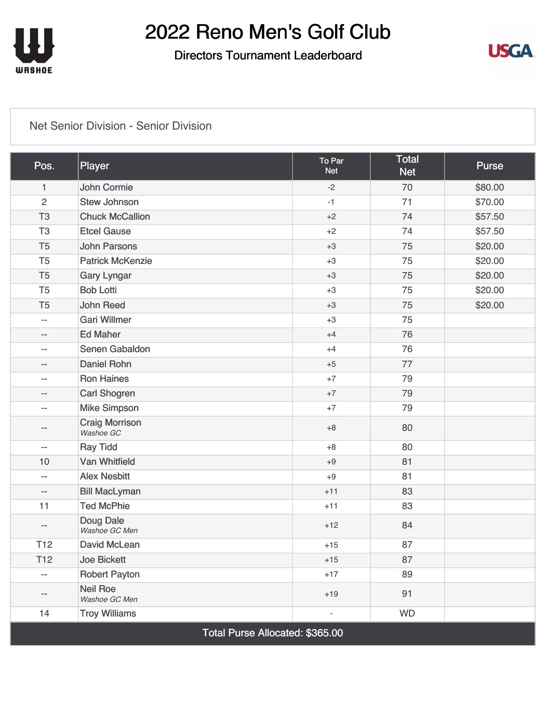

### Directors Tournament Leaderboard



#### [Net Senior Division - Senior Division](https://static.golfgenius.com/v2tournaments/8433343255516568721?called_from=&round_index=3)

| Pos.                            | Player                             | To Par<br><b>Net</b>     | <b>Total</b><br><b>Net</b> | <b>Purse</b> |  |
|---------------------------------|------------------------------------|--------------------------|----------------------------|--------------|--|
| 1                               | John Cormie                        | $-2$                     | 70                         | \$80.00      |  |
| $\overline{2}$                  | <b>Stew Johnson</b>                | $-1$                     | 71                         | \$70.00      |  |
| T <sub>3</sub>                  | <b>Chuck McCallion</b>             | $+2$                     | 74                         | \$57.50      |  |
| T <sub>3</sub>                  | <b>Etcel Gause</b>                 | $+2$                     | 74                         | \$57.50      |  |
| T <sub>5</sub>                  | <b>John Parsons</b>                | $+3$                     | 75                         | \$20.00      |  |
| T <sub>5</sub>                  | <b>Patrick McKenzie</b>            | $+3$                     | 75                         | \$20.00      |  |
| T <sub>5</sub>                  | <b>Gary Lyngar</b>                 | $+3$                     | 75                         | \$20.00      |  |
| T <sub>5</sub>                  | <b>Bob Lotti</b>                   | $+3$                     | 75                         | \$20.00      |  |
| T <sub>5</sub>                  | <b>John Reed</b>                   | $+3$                     | 75                         | \$20.00      |  |
| $ \!-$                          | <b>Gari Willmer</b>                | $+3$                     | 75                         |              |  |
| $- -$                           | <b>Ed Maher</b>                    | $+4$                     | 76                         |              |  |
| $-\,-$                          | Senen Gabaldon                     | $+4$                     | 76                         |              |  |
| $-\,-$                          | <b>Daniel Rohn</b>                 | $+5$                     | 77                         |              |  |
| $-\,-$                          | <b>Ron Haines</b>                  | $+7$                     | 79                         |              |  |
| $- -$                           | <b>Carl Shogren</b>                | $+7$                     | 79                         |              |  |
| $-\,-$                          | <b>Mike Simpson</b>                | $+7$                     | 79                         |              |  |
| $\qquad \qquad -$               | <b>Craig Morrison</b><br>Washoe GC | $+8$                     | 80                         |              |  |
| $\overline{\phantom{m}}$        | <b>Ray Tidd</b>                    | $+8$                     | 80                         |              |  |
| 10                              | <b>Van Whitfield</b>               | $+9$                     | 81                         |              |  |
| $\qquad \qquad -$               | <b>Alex Nesbitt</b>                | $+9$                     | 81                         |              |  |
| $\overline{\phantom{m}}$        | <b>Bill MacLyman</b>               | $+11$                    | 83                         |              |  |
| 11                              | <b>Ted McPhie</b>                  | $+11$                    | 83                         |              |  |
| $-\,-$                          | <b>Doug Dale</b><br>Washoe GC Men  | $+12$                    | 84                         |              |  |
| T <sub>12</sub>                 | David McLean                       | $+15$                    | 87                         |              |  |
| T <sub>12</sub>                 | <b>Joe Bickett</b>                 | $+15$                    | 87                         |              |  |
| $\overline{\phantom{a}}$        | <b>Robert Payton</b>               | $+17$                    | 89                         |              |  |
| $-\,-$                          | <b>Neil Roe</b><br>Washoe GC Men   | $+19$                    | 91                         |              |  |
| 14                              | <b>Troy Williams</b>               | $\overline{\phantom{0}}$ | <b>WD</b>                  |              |  |
| Total Purse Allocated: \$365.00 |                                    |                          |                            |              |  |